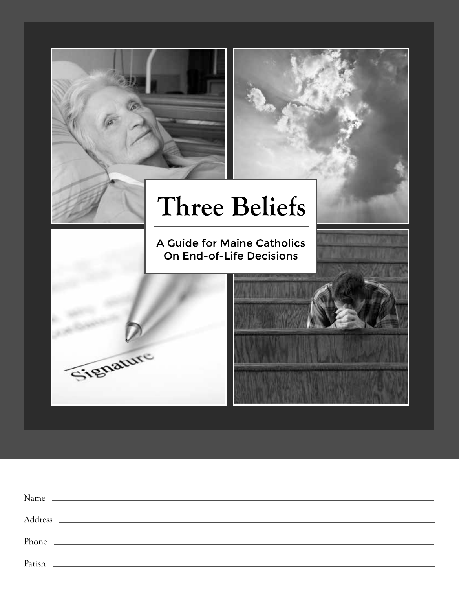

| Name   | <u> 1989 - Johann Stoff, amerikansk politiker (* 1908)</u> |
|--------|------------------------------------------------------------|
|        |                                                            |
|        |                                                            |
| Parish |                                                            |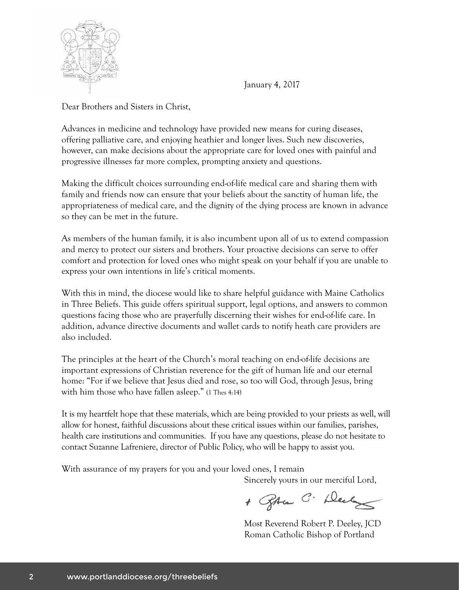

January 4, 2017

Dear Brothers and Sisters in Christ,

Advances in medicine and technology have provided new means for curing diseases, offering palliative care, and enjoying heathier and longer lives. Such new discoveries, however, can make decisions about the appropriate care for loved ones with painful and progressive illnesses far more complex, prompting anxiety and questions.

Making the difficult choices surrounding end-of-life medical care and sharing them with family and friends now can ensure that your beliefs about the sanctity of human life, the appropriateness of medical care, and the dignity of the dying process are known in advance so they can be met in the future.

As members of the human family, it is also incumbent upon all of us to extend compassion and mercy to protect our sisters and brothers. Your proactive decisions can serve to offer comfort and protection for loved ones who might speak on your behalf if you are unable to express your own intentions in life's critical moments.

With this in mind, the diocese would like to share helpful guidance with Maine Catholics in Three Beliefs. This guide offers spiritual support, legal options, and answers to common questions facing those who are prayerfully discerning their wishes for end-of-life care. In addition, advance directive documents and wallet cards to notify heath care providers are also included.

The principles at the heart of the Church's moral teaching on end-of-life decisions are important expressions of Christian reverence for the gift of human life and our eternal home: "For if we believe that Jesus died and rose, so too will God, through Jesus, bring with him those who have fallen asleep." (1 Thes 4:14)

It is my heartfelt hope that these materials, which are being provided to your priests as well, will allow for honest, faithful discussions about these critical issues within our families, parishes, health care institutions and communities. If you have any questions, please do not hesitate to contact Suzanne Lafreniere, director of Public Policy, who will be happy to assist you.

With assurance of my prayers for you and your loved ones, I remain Sincerely yours in our merciful Lord,

+ Spran C. Durg

Most Reverend Robert P. Deeley, JCD Roman Catholic Bishop of Portland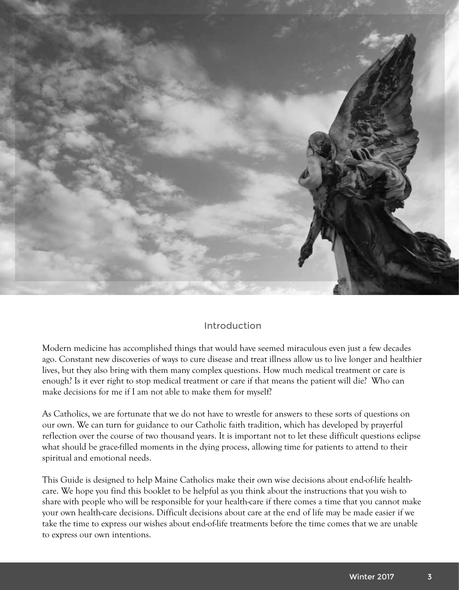

# Introduction

Modern medicine has accomplished things that would have seemed miraculous even just a few decades ago. Constant new discoveries of ways to cure disease and treat illness allow us to live longer and healthier lives, but they also bring with them many complex questions. How much medical treatment or care is enough? Is it ever right to stop medical treatment or care if that means the patient will die? Who can make decisions for me if I am not able to make them for myself?

As Catholics, we are fortunate that we do not have to wrestle for answers to these sorts of questions on our own. We can turn for guidance to our Catholic faith tradition, which has developed by prayerful reflection over the course of two thousand years. It is important not to let these difficult questions eclipse what should be grace-filled moments in the dying process, allowing time for patients to attend to their spiritual and emotional needs.

This Guide is designed to help Maine Catholics make their own wise decisions about end-of-life healthcare. We hope you find this booklet to be helpful as you think about the instructions that you wish to share with people who will be responsible for your health-care if there comes a time that you cannot make your own health-care decisions. Difficult decisions about care at the end of life may be made easier if we take the time to express our wishes about end-of-life treatments before the time comes that we are unable to express our own intentions.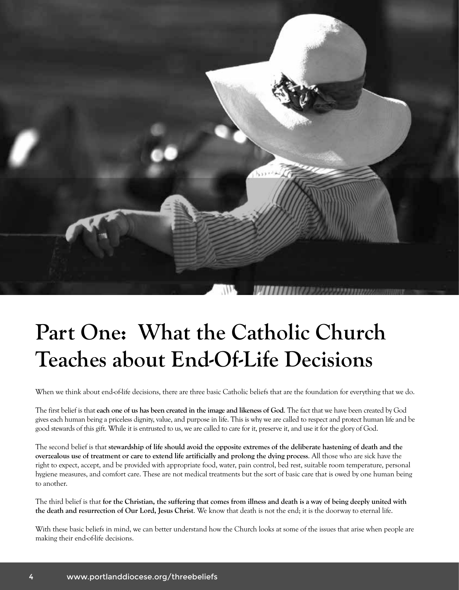

# **Part One: What the Catholic Church Teaches about End-Of-Life Decisions**

When we think about end-of-life decisions, there are three basic Catholic beliefs that are the foundation for everything that we do.

The first belief is that **each one of us has been created in the image and likeness of God**. The fact that we have been created by God gives each human being a priceless dignity, value, and purpose in life. This is why we are called to respect and protect human life and be good stewards of this gift. While it is entrusted to us, we are called to care for it, preserve it, and use it for the glory of God.

The second belief is that **stewardship of life should avoid the opposite extremes of the deliberate hastening of death and the overzealous use of treatment or care to extend life artificially and prolong the dying process**. All those who are sick have the right to expect, accept, and be provided with appropriate food, water, pain control, bed rest, suitable room temperature, personal hygiene measures, and comfort care. These are not medical treatments but the sort of basic care that is owed by one human being to another.

The third belief is that **for the Christian, the suffering that comes from illness and death is a way of being deeply united with the death and resurrection of Our Lord, Jesus Christ**. We know that death is not the end; it is the doorway to eternal life.

With these basic beliefs in mind, we can better understand how the Church looks at some of the issues that arise when people are making their end-of-life decisions.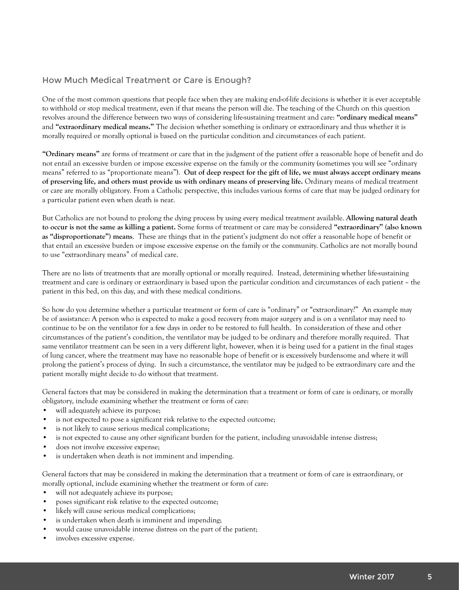### How Much Medical Treatment or Care is Enough?

One of the most common questions that people face when they are making end-of-life decisions is whether it is ever acceptable to withhold or stop medical treatment, even if that means the person will die. The teaching of the Church on this question revolves around the difference between two ways of considering life-sustaining treatment and care: **"ordinary medical means"** and **"extraordinary medical means."** The decision whether something is ordinary or extraordinary and thus whether it is morally required or morally optional is based on the particular condition and circumstances of each patient.

**"Ordinary means"** are forms of treatment or care that in the judgment of the patient offer a reasonable hope of benefit and do not entail an excessive burden or impose excessive expense on the family or the community (sometimes you will see "ordinary means" referred to as "proportionate means"). **Out of deep respect for the gift of life, we must always accept ordinary means of preserving life, and others must provide us with ordinary means of preserving life.** Ordinary means of medical treatment or care are morally obligatory. From a Catholic perspective, this includes various forms of care that may be judged ordinary for a particular patient even when death is near.

But Catholics are not bound to prolong the dying process by using every medical treatment available. **Allowing natural death to occur is not the same as killing a patient.** Some forms of treatment or care may be considered **"extraordinary" (also known as "disproportionate") means**. These are things that in the patient's judgment do not offer a reasonable hope of benefit or that entail an excessive burden or impose excessive expense on the family or the community. Catholics are not morally bound to use "extraordinary means" of medical care.

There are no lists of treatments that are morally optional or morally required. Instead, determining whether life-sustaining treatment and care is ordinary or extraordinary is based upon the particular condition and circumstances of each patient – the patient in this bed, on this day, and with these medical conditions.

So how do you determine whether a particular treatment or form of care is "ordinary" or "extraordinary?" An example may be of assistance: A person who is expected to make a good recovery from major surgery and is on a ventilator may need to continue to be on the ventilator for a few days in order to be restored to full health. In consideration of these and other circumstances of the patient's condition, the ventilator may be judged to be ordinary and therefore morally required. That same ventilator treatment can be seen in a very different light, however, when it is being used for a patient in the final stages of lung cancer, where the treatment may have no reasonable hope of benefit or is excessively burdensome and where it will prolong the patient's process of dying. In such a circumstance, the ventilator may be judged to be extraordinary care and the patient morally might decide to do without that treatment.

General factors that may be considered in making the determination that a treatment or form of care is ordinary, or morally obligatory, include examining whether the treatment or form of care:

- will adequately achieve its purpose;
- is not expected to pose a significant risk relative to the expected outcome;
- is not likely to cause serious medical complications;
- is not expected to cause any other significant burden for the patient, including unavoidable intense distress;
- does not involve excessive expense;
- is undertaken when death is not imminent and impending.

General factors that may be considered in making the determination that a treatment or form of care is extraordinary, or morally optional, include examining whether the treatment or form of care:

- will not adequately achieve its purpose;
- poses significant risk relative to the expected outcome;
- likely will cause serious medical complications;
- is undertaken when death is imminent and impending;
- would cause unavoidable intense distress on the part of the patient;
- involves excessive expense.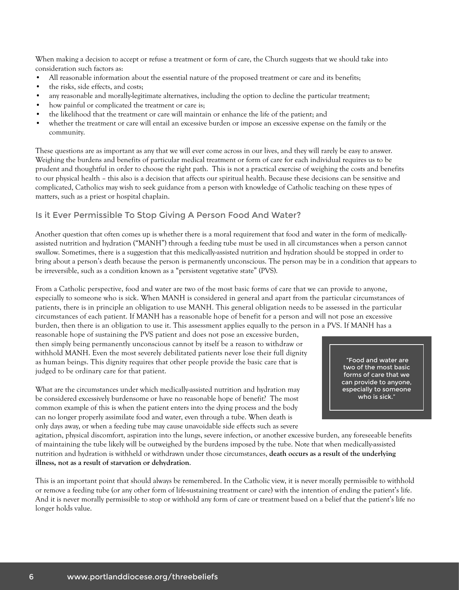When making a decision to accept or refuse a treatment or form of care, the Church suggests that we should take into consideration such factors as:

- All reasonable information about the essential nature of the proposed treatment or care and its benefits;
- the risks, side effects, and costs;
- any reasonable and morally-legitimate alternatives, including the option to decline the particular treatment;
- how painful or complicated the treatment or care is;
- the likelihood that the treatment or care will maintain or enhance the life of the patient; and
- whether the treatment or care will entail an excessive burden or impose an excessive expense on the family or the community.

These questions are as important as any that we will ever come across in our lives, and they will rarely be easy to answer. Weighing the burdens and benefits of particular medical treatment or form of care for each individual requires us to be prudent and thoughtful in order to choose the right path. This is not a practical exercise of weighing the costs and benefits to our physical health – this also is a decision that affects our spiritual health. Because these decisions can be sensitive and complicated, Catholics may wish to seek guidance from a person with knowledge of Catholic teaching on these types of matters, such as a priest or hospital chaplain.

#### Is it Ever Permissible To Stop Giving A Person Food And Water?

Another question that often comes up is whether there is a moral requirement that food and water in the form of medicallyassisted nutrition and hydration ("MANH") through a feeding tube must be used in all circumstances when a person cannot swallow. Sometimes, there is a suggestion that this medically-assisted nutrition and hydration should be stopped in order to bring about a person's death because the person is permanently unconscious. The person may be in a condition that appears to be irreversible, such as a condition known as a "persistent vegetative state" (PVS).

From a Catholic perspective, food and water are two of the most basic forms of care that we can provide to anyone, especially to someone who is sick. When MANH is considered in general and apart from the particular circumstances of patients, there is in principle an obligation to use MANH. This general obligation needs to be assessed in the particular circumstances of each patient. If MANH has a reasonable hope of benefit for a person and will not pose an excessive burden, then there is an obligation to use it. This assessment applies equally to the person in a PVS. If MANH has a

reasonable hope of sustaining the PVS patient and does not pose an excessive burden, then simply being permanently unconscious cannot by itself be a reason to withdraw or withhold MANH. Even the most severely debilitated patients never lose their full dignity as human beings. This dignity requires that other people provide the basic care that is judged to be ordinary care for that patient.

What are the circumstances under which medically-assisted nutrition and hydration may be considered excessively burdensome or have no reasonable hope of benefit? The most common example of this is when the patient enters into the dying process and the body can no longer properly assimilate food and water, even through a tube. When death is only days away, or when a feeding tube may cause unavoidable side effects such as severe

 "Food and water are two of the most basic forms of care that we can provide to anyone, especially to someone who is sick."

agitation, physical discomfort, aspiration into the lungs, severe infection, or another excessive burden, any foreseeable benefits of maintaining the tube likely will be outweighed by the burdens imposed by the tube. Note that when medically-assisted nutrition and hydration is withheld or withdrawn under those circumstances, **death occurs as a result of the underlying illness, not as a result of starvation or dehydration**.

This is an important point that should always be remembered. In the Catholic view, it is never morally permissible to withhold or remove a feeding tube (or any other form of life-sustaining treatment or care) with the intention of ending the patient's life. And it is never morally permissible to stop or withhold any form of care or treatment based on a belief that the patient's life no longer holds value.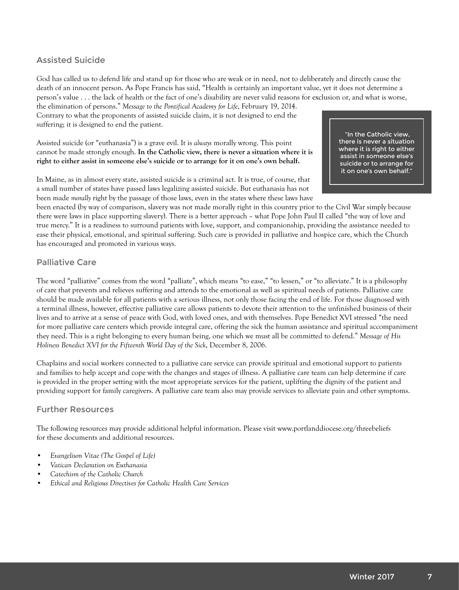#### Assisted Suicide

God has called us to defend life and stand up for those who are weak or in need, not to deliberately and directly cause the death of an innocent person. As Pope Francis has said, "Health is certainly an important value, yet it does not determine a person's value . . . the lack of health or the fact of one's disability are never valid reasons for exclusion or, and what is worse,

the elimination of persons." *Message to the Pontifical Academy for Life*, February 19, 2014. Contrary to what the proponents of assisted suicide claim, it is not designed to end the suffering; it is designed to end the patient.

Assisted suicide (or "euthanasia") is a grave evil. It is *always* morally wrong. This point cannot be made strongly enough. **In the Catholic view, there is never a situation where it is right to either assist in someone else's suicide or to arrange for it on one's own behalf.**

In Maine, as in almost every state, assisted suicide is a criminal act. It is true, of course, that a small number of states have passed laws legalizing assisted suicide. But euthanasia has not been made *morally* right by the passage of those laws, even in the states where these laws have

 "In the Catholic view, there is never a situation where it is right to either assist in someone else's suicide or to arrange for it on one's own behalf."

been enacted (by way of comparison, slavery was not made morally right in this country prior to the Civil War simply because there were laws in place supporting slavery). There is a better approach – what Pope John Paul II called "the way of love and true mercy." It is a readiness to surround patients with love, support, and companionship, providing the assistance needed to ease their physical, emotional, and spiritual suffering. Such care is provided in palliative and hospice care, which the Church has encouraged and promoted in various ways.

#### Palliative Care

The word "palliative" comes from the word "palliate", which means "to ease," "to lessen," or "to alleviate." It is a philosophy of care that prevents and relieves suffering and attends to the emotional as well as spiritual needs of patients. Palliative care should be made available for all patients with a serious illness, not only those facing the end of life. For those diagnosed with a terminal illness, however, effective palliative care allows patients to devote their attention to the unfinished business of their lives and to arrive at a sense of peace with God, with loved ones, and with themselves. Pope Benedict XVI stressed "the need for more palliative care centers which provide integral care, offering the sick the human assistance and spiritual accompaniment they need. This is a right belonging to every human being, one which we must all be committed to defend." *Message of His Holiness Benedict XVI for the Fifteenth World Day of the Sick*, December 8, 2006.

Chaplains and social workers connected to a palliative care service can provide spiritual and emotional support to patients and families to help accept and cope with the changes and stages of illness. A palliative care team can help determine if care is provided in the proper setting with the most appropriate services for the patient, uplifting the dignity of the patient and providing support for family caregivers. A palliative care team also may provide services to alleviate pain and other symptoms.

#### Further Resources

The following resources may provide additional helpful information. Please visit www.portlanddiocese.org/threebeliefs for these documents and additional resources.

- *• Evangelium Vitae (The Gospel of Life)*
- *• Vatican Declaration on Euthanasia*
- *• Catechism of the Catholic Church*
- *• Ethical and Religious Directives for Catholic Health Care Services*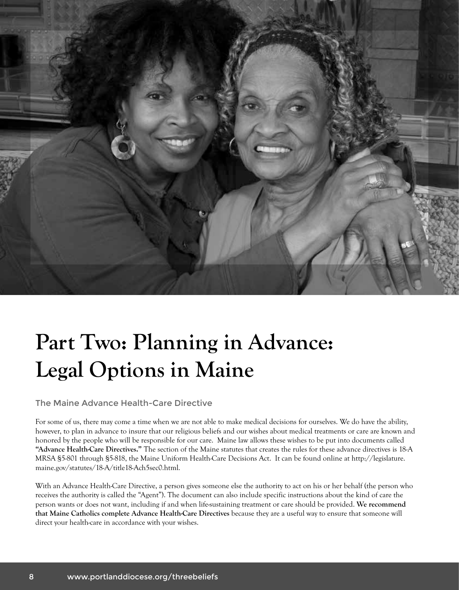

# **Part Two: Planning in Advance: Legal Options in Maine**

The Maine Advance Health-Care Directive

For some of us, there may come a time when we are not able to make medical decisions for ourselves. We do have the ability, however, to plan in advance to insure that our religious beliefs and our wishes about medical treatments or care are known and honored by the people who will be responsible for our care. Maine law allows these wishes to be put into documents called **"Advance Health-Care Directives."** The section of the Maine statutes that creates the rules for these advance directives is 18-A MRSA §5-801 through §5-818, the Maine Uniform Health-Care Decisions Act. It can be found online at http://legislature. maine.gov/statutes/18-A/title18-Ach5sec0.html.

With an Advance Health-Care Directive, a person gives someone else the authority to act on his or her behalf (the person who receives the authority is called the "Agent"). The document can also include specific instructions about the kind of care the person wants or does not want, including if and when life-sustaining treatment or care should be provided. **We recommend that Maine Catholics complete Advance Health-Care Directives** because they are a useful way to ensure that someone will direct your health-care in accordance with your wishes.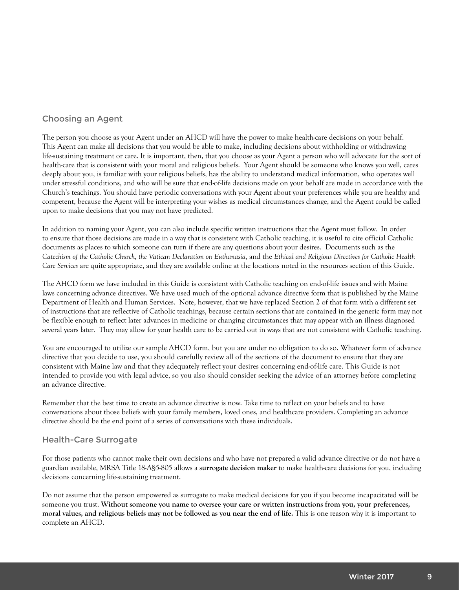### Choosing an Agent

The person you choose as your Agent under an AHCD will have the power to make health-care decisions on your behalf. This Agent can make all decisions that you would be able to make, including decisions about withholding or withdrawing life-sustaining treatment or care. It is important, then, that you choose as your Agent a person who will advocate for the sort of health-care that is consistent with your moral and religious beliefs. Your Agent should be someone who knows you well, cares deeply about you, is familiar with your religious beliefs, has the ability to understand medical information, who operates well under stressful conditions, and who will be sure that end-of-life decisions made on your behalf are made in accordance with the Church's teachings. You should have periodic conversations with your Agent about your preferences while you are healthy and competent, because the Agent will be interpreting your wishes as medical circumstances change, and the Agent could be called upon to make decisions that you may not have predicted.

In addition to naming your Agent, you can also include specific written instructions that the Agent must follow. In order to ensure that those decisions are made in a way that is consistent with Catholic teaching, it is useful to cite official Catholic documents as places to which someone can turn if there are any questions about your desires. Documents such as the *Catechism of the Catholic Church, the Vatican Declaration on Euthanasia,* and the *Ethical and Religious Directives for Catholic Health Care Services* are quite appropriate, and they are available online at the locations noted in the resources section of this Guide.

The AHCD form we have included in this Guide is consistent with Catholic teaching on end-of-life issues and with Maine laws concerning advance directives. We have used much of the optional advance directive form that is published by the Maine Department of Health and Human Services. Note, however, that we have replaced Section 2 of that form with a different set of instructions that are reflective of Catholic teachings, because certain sections that are contained in the generic form may not be flexible enough to reflect later advances in medicine or changing circumstances that may appear with an illness diagnosed several years later. They may allow for your health care to be carried out in ways that are not consistent with Catholic teaching.

You are encouraged to utilize our sample AHCD form, but you are under no obligation to do so. Whatever form of advance directive that you decide to use, you should carefully review all of the sections of the document to ensure that they are consistent with Maine law and that they adequately reflect your desires concerning end-of-life care. This Guide is not intended to provide you with legal advice, so you also should consider seeking the advice of an attorney before completing an advance directive.

Remember that the best time to create an advance directive is now. Take time to reflect on your beliefs and to have conversations about those beliefs with your family members, loved ones, and healthcare providers. Completing an advance directive should be the end point of a series of conversations with these individuals.

#### Health-Care Surrogate

For those patients who cannot make their own decisions and who have not prepared a valid advance directive or do not have a guardian available, MRSA Title 18-A§5-805 allows a **surrogate decision maker** to make health-care decisions for you, including decisions concerning life-sustaining treatment.

Do not assume that the person empowered as surrogate to make medical decisions for you if you become incapacitated will be someone you trust. **Without someone you name to oversee your care or written instructions from you, your preferences, moral values, and religious beliefs may not be followed as you near the end of life.** This is one reason why it is important to complete an AHCD.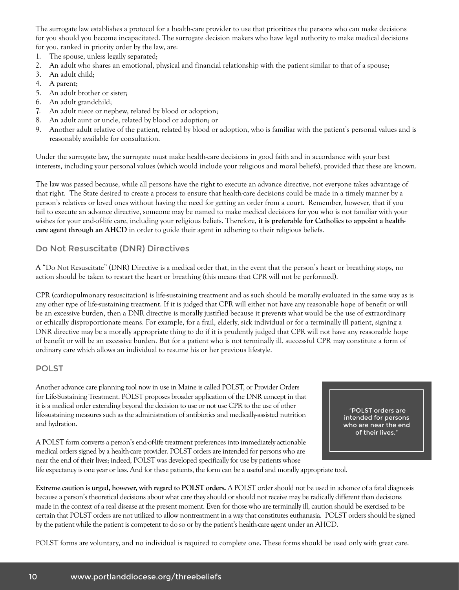The surrogate law establishes a protocol for a health-care provider to use that prioritizes the persons who can make decisions for you should you become incapacitated. The surrogate decision makers who have legal authority to make medical decisions for you, ranked in priority order by the law, are:

- 1. The spouse, unless legally separated;
- 2. An adult who shares an emotional, physical and financial relationship with the patient similar to that of a spouse;
- 3. An adult child;
- 4. A parent;
- 5. An adult brother or sister;
- 6. An adult grandchild;
- 7. An adult niece or nephew, related by blood or adoption;
- 8. An adult aunt or uncle, related by blood or adoption; or
- 9. Another adult relative of the patient, related by blood or adoption, who is familiar with the patient's personal values and is reasonably available for consultation.

Under the surrogate law, the surrogate must make health-care decisions in good faith and in accordance with your best interests, including your personal values (which would include your religious and moral beliefs), provided that these are known.

The law was passed because, while all persons have the right to execute an advance directive, not everyone takes advantage of that right. The State desired to create a process to ensure that health-care decisions could be made in a timely manner by a person's relatives or loved ones without having the need for getting an order from a court. Remember, however, that if you fail to execute an advance directive, someone may be named to make medical decisions for you who is not familiar with your wishes for your end-of-life care, including your religious beliefs. Therefore, **it is preferable for Catholics to appoint a healthcare agent through an AHCD** in order to guide their agent in adhering to their religious beliefs.

#### Do Not Resuscitate (DNR) Directives

A "Do Not Resuscitate" (DNR) Directive is a medical order that, in the event that the person's heart or breathing stops, no action should be taken to restart the heart or breathing (this means that CPR will not be performed).

CPR (cardiopulmonary resuscitation) is life-sustaining treatment and as such should be morally evaluated in the same way as is any other type of life-sustaining treatment. If it is judged that CPR will either not have any reasonable hope of benefit or will be an excessive burden, then a DNR directive is morally justified because it prevents what would be the use of extraordinary or ethically disproportionate means. For example, for a frail, elderly, sick individual or for a terminally ill patient, signing a DNR directive may be a morally appropriate thing to do if it is prudently judged that CPR will not have any reasonable hope of benefit or will be an excessive burden. But for a patient who is not terminally ill, successful CPR may constitute a form of ordinary care which allows an individual to resume his or her previous lifestyle.

#### POLST

Another advance care planning tool now in use in Maine is called POLST, or Provider Orders for Life-Sustaining Treatment. POLST proposes broader application of the DNR concept in that it is a medical order extending beyond the decision to use or not use CPR to the use of other life-sustaining measures such as the administration of antibiotics and medically-assisted nutrition and hydration.

 "POLST orders are intended for persons who are near the end of their lives."

A POLST form converts a person's end-of-life treatment preferences into immediately actionable medical orders signed by a health-care provider. POLST orders are intended for persons who are near the end of their lives; indeed, POLST was developed specifically for use by patients whose

life expectancy is one year or less. And for these patients, the form can be a useful and morally appropriate tool.

**Extreme caution is urged, however, with regard to POLST orders.** A POLST order should not be used in advance of a fatal diagnosis because a person's theoretical decisions about what care they should or should not receive may be radically different than decisions made in the context of a real disease at the present moment. Even for those who are terminally ill, caution should be exercised to be certain that POLST orders are not utilized to allow nontreatment in a way that constitutes euthanasia. POLST orders should be signed by the patient while the patient is competent to do so or by the patient's health-care agent under an AHCD.

POLST forms are voluntary, and no individual is required to complete one. These forms should be used only with great care.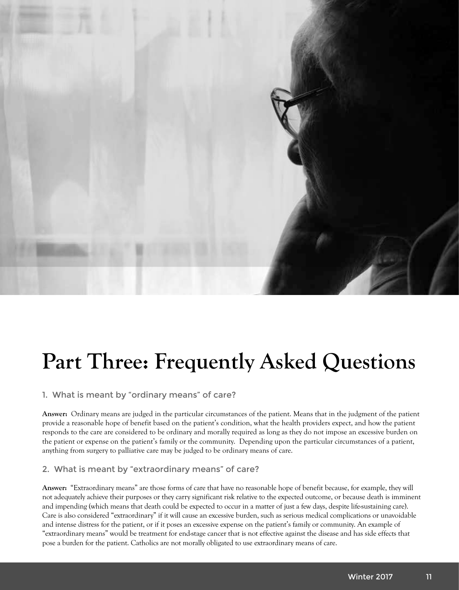![](_page_10_Picture_0.jpeg)

# **Part Three: Frequently Asked Questions**

#### 1. What is meant by "ordinary means" of care?

**Answer:** Ordinary means are judged in the particular circumstances of the patient. Means that in the judgment of the patient provide a reasonable hope of benefit based on the patient's condition, what the health providers expect, and how the patient responds to the care are considered to be ordinary and morally required as long as they do not impose an excessive burden on the patient or expense on the patient's family or the community. Depending upon the particular circumstances of a patient, anything from surgery to palliative care may be judged to be ordinary means of care.

#### 2. What is meant by "extraordinary means" of care?

**Answer:** "Extraordinary means" are those forms of care that have no reasonable hope of benefit because, for example, they will not adequately achieve their purposes or they carry significant risk relative to the expected outcome, or because death is imminent and impending (which means that death could be expected to occur in a matter of just a few days, despite life-sustaining care). Care is also considered "extraordinary" if it will cause an excessive burden, such as serious medical complications or unavoidable and intense distress for the patient, or if it poses an excessive expense on the patient's family or community. An example of "extraordinary means" would be treatment for end-stage cancer that is not effective against the disease and has side effects that pose a burden for the patient. Catholics are not morally obligated to use extraordinary means of care.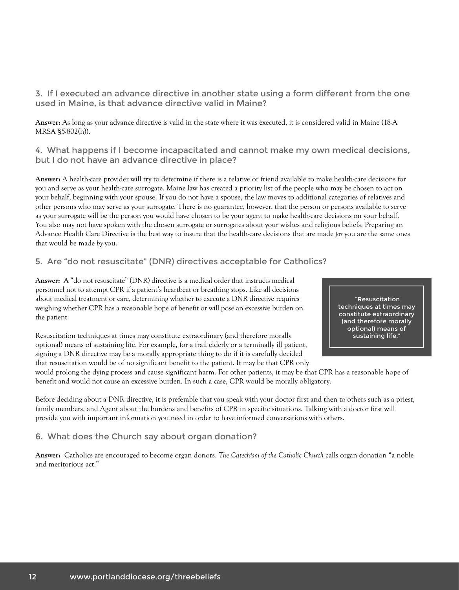3. If I executed an advance directive in another state using a form different from the one used in Maine, is that advance directive valid in Maine?

**Answer:** As long as your advance directive is valid in the state where it was executed, it is considered valid in Maine (18-A MRSA §5-802(h)).

4. What happens if I become incapacitated and cannot make my own medical decisions, but I do not have an advance directive in place?

**Answer:** A health-care provider will try to determine if there is a relative or friend available to make health-care decisions for you and serve as your health-care surrogate. Maine law has created a priority list of the people who may be chosen to act on your behalf, beginning with your spouse. If you do not have a spouse, the law moves to additional categories of relatives and other persons who may serve as your surrogate. There is no guarantee, however, that the person or persons available to serve as your surrogate will be the person you would have chosen to be your agent to make health-care decisions on your behalf. You also may not have spoken with the chosen surrogate or surrogates about your wishes and religious beliefs. Preparing an Advance Health Care Directive is the best way to insure that the health-care decisions that are made *for* you are the same ones that would be made *by* you.

#### 5. Are "do not resuscitate" (DNR) directives acceptable for Catholics?

**Answer:** A "do not resuscitate" (DNR) directive is a medical order that instructs medical personnel not to attempt CPR if a patient's heartbeat or breathing stops. Like all decisions about medical treatment or care, determining whether to execute a DNR directive requires weighing whether CPR has a reasonable hope of benefit or will pose an excessive burden on the patient.

Resuscitation techniques at times may constitute extraordinary (and therefore morally optional) means of sustaining life. For example, for a frail elderly or a terminally ill patient, signing a DNR directive may be a morally appropriate thing to do if it is carefully decided that resuscitation would be of no significant benefit to the patient. It may be that CPR only

 "Resuscitation techniques at times may constitute extraordinary (and therefore morally optional) means of sustaining life."

would prolong the dying process and cause significant harm. For other patients, it may be that CPR has a reasonable hope of benefit and would not cause an excessive burden. In such a case, CPR would be morally obligatory.

Before deciding about a DNR directive, it is preferable that you speak with your doctor first and then to others such as a priest, family members, and Agent about the burdens and benefits of CPR in specific situations. Talking with a doctor first will provide you with important information you need in order to have informed conversations with others.

#### 6. What does the Church say about organ donation?

**Answer:** Catholics are encouraged to become organ donors. *The Catechism of the Catholic Church* calls organ donation "a noble and meritorious act."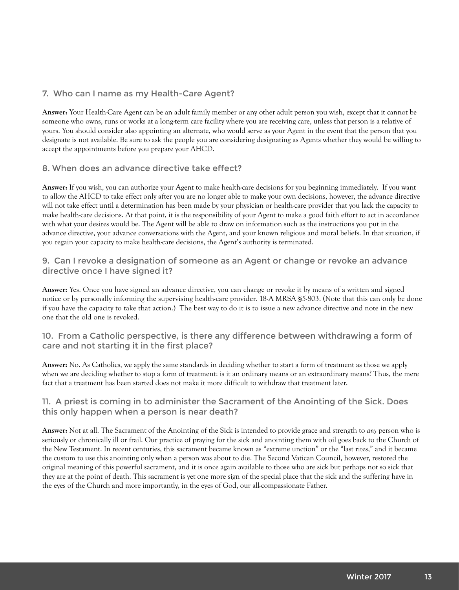#### 7. Who can I name as my Health-Care Agent?

**Answer:** Your Health-Care Agent can be an adult family member or any other adult person you wish, except that it cannot be someone who owns, runs or works at a long-term care facility where you are receiving care, unless that person is a relative of yours. You should consider also appointing an alternate, who would serve as your Agent in the event that the person that you designate is not available. Be sure to ask the people you are considering designating as Agents whether they would be willing to accept the appointments before you prepare your AHCD.

#### 8. When does an advance directive take effect?

**Answer:** If you wish, you can authorize your Agent to make health-care decisions for you beginning immediately. If you want to allow the AHCD to take effect only after you are no longer able to make your own decisions, however, the advance directive will not take effect until a determination has been made by your physician or health-care provider that you lack the capacity to make health-care decisions. At that point, it is the responsibility of your Agent to make a good faith effort to act in accordance with what your desires would be. The Agent will be able to draw on information such as the instructions you put in the advance directive, your advance conversations with the Agent, and your known religious and moral beliefs. In that situation, if you regain your capacity to make health-care decisions, the Agent's authority is terminated.

#### 9. Can I revoke a designation of someone as an Agent or change or revoke an advance directive once I have signed it?

**Answer:** Yes. Once you have signed an advance directive, you can change or revoke it by means of a written and signed notice or by personally informing the supervising health-care provider. 18-A MRSA §5-803. (Note that this can only be done if you have the capacity to take that action.) The best way to do it is to issue a new advance directive and note in the new one that the old one is revoked.

#### 10. From a Catholic perspective, is there any difference between withdrawing a form of care and not starting it in the first place?

**Answer:** No. As Catholics, we apply the same standards in deciding whether to start a form of treatment as those we apply when we are deciding whether to stop a form of treatment: is it an ordinary means or an extraordinary means? Thus, the mere fact that a treatment has been started does not make it more difficult to withdraw that treatment later.

#### 11. A priest is coming in to administer the Sacrament of the Anointing of the Sick. Does this only happen when a person is near death?

**Answer:** Not at all. The Sacrament of the Anointing of the Sick is intended to provide grace and strength to *any* person who is seriously or chronically ill or frail. Our practice of praying for the sick and anointing them with oil goes back to the Church of the New Testament. In recent centuries, this sacrament became known as "extreme unction" or the "last rites," and it became the custom to use this anointing only when a person was about to die. The Second Vatican Council, however, restored the original meaning of this powerful sacrament, and it is once again available to those who are sick but perhaps not so sick that they are at the point of death. This sacrament is yet one more sign of the special place that the sick and the suffering have in the eyes of the Church and more importantly, in the eyes of God, our all-compassionate Father.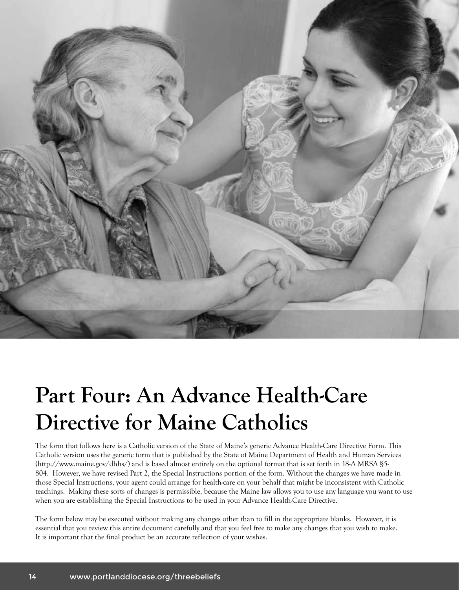![](_page_13_Picture_0.jpeg)

# **Part Four: An Advance Health-Care Directive for Maine Catholics**

The form that follows here is a Catholic version of the State of Maine's generic Advance Health-Care Directive Form. This Catholic version uses the generic form that is published by the State of Maine Department of Health and Human Services (http://www.maine.gov/dhhs/) and is based almost entirely on the optional format that is set forth in 18-A MRSA §5- 804. However, we have revised Part 2, the Special Instructions portion of the form. Without the changes we have made in those Special Instructions, your agent could arrange for health-care on your behalf that might be inconsistent with Catholic teachings. Making these sorts of changes is permissible, because the Maine law allows you to use any language you want to use when you are establishing the Special Instructions to be used in your Advance Health-Care Directive.

The form below may be executed without making any changes other than to fill in the appropriate blanks. However, it is essential that you review this entire document carefully and that you feel free to make any changes that you wish to make. It is important that the final product be an accurate reflection of your wishes.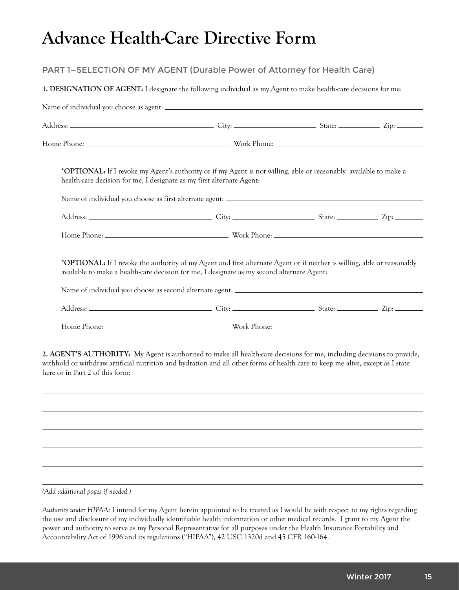# **Advance Health-Care Directive Form**

### PART 1—SELECTION OF MY AGENT (Durable Power of Attorney for Health Care)

#### **1. DESIGNATION OF AGENT:** I designate the following individual as my Agent to make health-care decisions for me:

|                                 | *OPTIONAL: If I revoke my Agent's authority or if my Agent is not willing, able or reasonably available to make a<br>health-care decision for me, I designate as my first alternate Agent:                                                               |  |  |  |  |
|---------------------------------|----------------------------------------------------------------------------------------------------------------------------------------------------------------------------------------------------------------------------------------------------------|--|--|--|--|
|                                 |                                                                                                                                                                                                                                                          |  |  |  |  |
|                                 |                                                                                                                                                                                                                                                          |  |  |  |  |
|                                 |                                                                                                                                                                                                                                                          |  |  |  |  |
|                                 | *OPTIONAL: If I revoke the authority of my Agent and first alternate Agent or if neither is willing, able or reasonably<br>available to make a health-care decision for me, I designate as my second alternate Agent:                                    |  |  |  |  |
|                                 |                                                                                                                                                                                                                                                          |  |  |  |  |
|                                 |                                                                                                                                                                                                                                                          |  |  |  |  |
| here or in Part 2 of this form: | 2. AGENT'S AUTHORITY: My Agent is authorized to make all health-care decisions for me, including decisions to provide,<br>withhold or withdraw artificial nutrition and hydration and all other forms of health care to keep me alive, except as I state |  |  |  |  |
|                                 |                                                                                                                                                                                                                                                          |  |  |  |  |
|                                 |                                                                                                                                                                                                                                                          |  |  |  |  |
|                                 |                                                                                                                                                                                                                                                          |  |  |  |  |
|                                 |                                                                                                                                                                                                                                                          |  |  |  |  |
|                                 |                                                                                                                                                                                                                                                          |  |  |  |  |

*(Add additional pages if needed.)*

*Authority under HIPAA:* I intend for my Agent herein appointed to be treated as I would be with respect to my rights regarding the use and disclosure of my individually identifiable health information or other medical records. I grant to my Agent the power and authority to serve as my Personal Representative for all purposes under the Health Insurance Portability and Accountability Act of 1996 and its regulations ("HIPAA"), 42 USC 1320d and 45 CFR 160-164.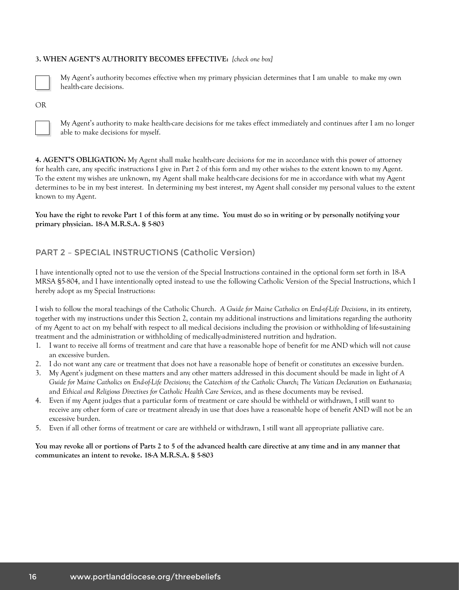#### **3. WHEN AGENT'S AUTHORITY BECOMES EFFECTIVE:** *[check one box]*

![](_page_15_Picture_1.jpeg)

My Agent's authority becomes effective when my primary physician determines that I am unable to make my own health-care decisions.

OR

![](_page_15_Picture_4.jpeg)

My Agent's authority to make health-care decisions for me takes effect immediately and continues after I am no longer able to make decisions for myself.

**4. AGENT'S OBLIGATION:** My Agent shall make health-care decisions for me in accordance with this power of attorney for health care, any specific instructions I give in Part 2 of this form and my other wishes to the extent known to my Agent. To the extent my wishes are unknown, my Agent shall make health-care decisions for me in accordance with what my Agent determines to be in my best interest. In determining my best interest, my Agent shall consider my personal values to the extent known to my Agent.

#### **You have the right to revoke Part 1 of this form at any time. You must do so in writing or by personally notifying your primary physician. 18-A M.R.S.A. § 5-803**

#### PART 2 – SPECIAL INSTRUCTIONS (Catholic Version)

I have intentionally opted not to use the version of the Special Instructions contained in the optional form set forth in 18-A MRSA §5-804, and I have intentionally opted instead to use the following Catholic Version of the Special Instructions, which I hereby adopt as my Special Instructions:

I wish to follow the moral teachings of the Catholic Church. *A Guide for Maine Catholics on End-of-Life Decisions*, in its entirety, together with my instructions under this Section 2, contain my additional instructions and limitations regarding the authority of my Agent to act on my behalf with respect to all medical decisions including the provision or withholding of life-sustaining treatment and the administration or withholding of medically-administered nutrition and hydration.

- 1. I want to receive all forms of treatment and care that have a reasonable hope of benefit for me AND which will not cause an excessive burden.
- 2. I do not want any care or treatment that does not have a reasonable hope of benefit or constitutes an excessive burden.
- 3. My Agent's judgment on these matters and any other matters addressed in this document should be made in light of *A Guide for Maine Catholics on End-of-Life Decisions*; the *Catechism of the Catholic Church*; *The Vatican Declaration on Euthanasia*; and *Ethical and Religious Directives for Catholic Health Care Services*, and as these documents may be revised.
- 4. Even if my Agent judges that a particular form of treatment or care should be withheld or withdrawn, I still want to receive any other form of care or treatment already in use that does have a reasonable hope of benefit AND will not be an excessive burden.
- 5. Even if all other forms of treatment or care are withheld or withdrawn, I still want all appropriate palliative care.

**You may revoke all or portions of Parts 2 to 5 of the advanced health care directive at any time and in any manner that communicates an intent to revoke. 18-A M.R.S.A. § 5-803**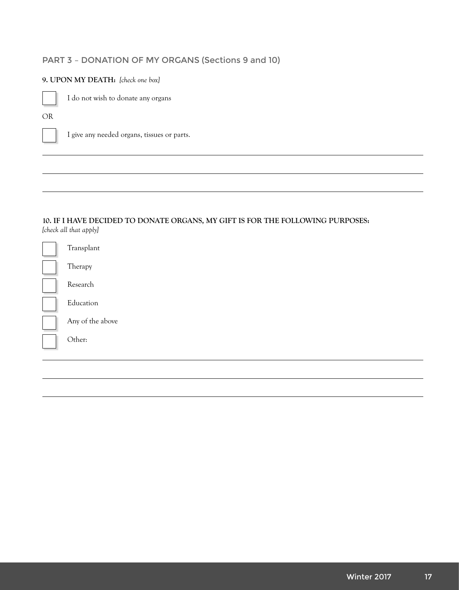## PART 3 – DONATION OF MY ORGANS (Sections 9 and 10)

#### **9. UPON MY DEATH:** *[check one box]*

![](_page_16_Picture_2.jpeg)

I do not wish to donate any organs

OR

![](_page_16_Picture_5.jpeg)

I give any needed organs, tissues or parts.

#### **10. IF I HAVE DECIDED TO DONATE ORGANS, MY GIFT IS FOR THE FOLLOWING PURPOSES:**  *[check all that apply]*

| Transplant       |
|------------------|
| Therapy          |
| Research         |
| Education        |
| Any of the above |
| Other:           |
|                  |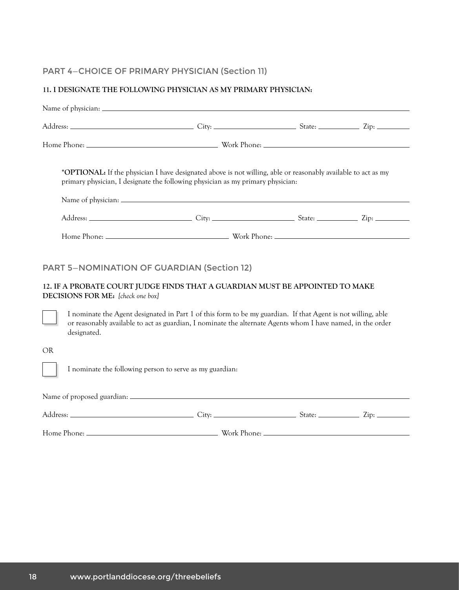# PART 4—CHOICE OF PRIMARY PHYSICIAN (Section 11)

### **11. I DESIGNATE THE FOLLOWING PHYSICIAN AS MY PRIMARY PHYSICIAN:**

|                                                                                                                                                                                                                                                                                                                                                                                                                                                                                               | *OPTIONAL: If the physician I have designated above is not willing, able or reasonably available to act as my<br>primary physician, I designate the following physician as my primary physician: |  |  |  |  |  |
|-----------------------------------------------------------------------------------------------------------------------------------------------------------------------------------------------------------------------------------------------------------------------------------------------------------------------------------------------------------------------------------------------------------------------------------------------------------------------------------------------|--------------------------------------------------------------------------------------------------------------------------------------------------------------------------------------------------|--|--|--|--|--|
|                                                                                                                                                                                                                                                                                                                                                                                                                                                                                               |                                                                                                                                                                                                  |  |  |  |  |  |
|                                                                                                                                                                                                                                                                                                                                                                                                                                                                                               |                                                                                                                                                                                                  |  |  |  |  |  |
|                                                                                                                                                                                                                                                                                                                                                                                                                                                                                               |                                                                                                                                                                                                  |  |  |  |  |  |
| <b>PART 5-NOMINATION OF GUARDIAN (Section 12)</b><br>12. IF A PROBATE COURT JUDGE FINDS THAT A GUARDIAN MUST BE APPOINTED TO MAKE<br>DECISIONS FOR ME: [check one box]<br>I nominate the Agent designated in Part 1 of this form to be my guardian. If that Agent is not willing, able<br>or reasonably available to act as guardian, I nominate the alternate Agents whom I have named, in the order<br>designated.<br><b>OR</b><br>I nominate the following person to serve as my guardian: |                                                                                                                                                                                                  |  |  |  |  |  |
|                                                                                                                                                                                                                                                                                                                                                                                                                                                                                               |                                                                                                                                                                                                  |  |  |  |  |  |
|                                                                                                                                                                                                                                                                                                                                                                                                                                                                                               |                                                                                                                                                                                                  |  |  |  |  |  |

Home Phone: Work Phone: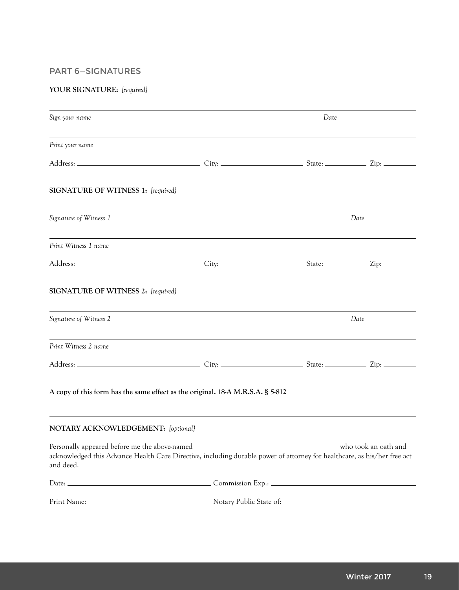#### PART 6—SIGNATURES

#### **YOUR SIGNATURE:** *[required}*

| Sign your name                                                                                                                                                                          |      | Date |                      |  |
|-----------------------------------------------------------------------------------------------------------------------------------------------------------------------------------------|------|------|----------------------|--|
| Print your name                                                                                                                                                                         |      |      |                      |  |
|                                                                                                                                                                                         |      |      |                      |  |
| SIGNATURE OF WITNESS 1: [required]                                                                                                                                                      |      |      |                      |  |
| Signature of Witness 1                                                                                                                                                                  |      |      | Date                 |  |
| Print Witness 1 name                                                                                                                                                                    |      |      |                      |  |
|                                                                                                                                                                                         |      |      |                      |  |
| SIGNATURE OF WITNESS 2: [required]                                                                                                                                                      |      |      |                      |  |
| Signature of Witness 2                                                                                                                                                                  | Date |      |                      |  |
| Print Witness 2 name                                                                                                                                                                    |      |      |                      |  |
|                                                                                                                                                                                         |      |      |                      |  |
| A copy of this form has the same effect as the original. 18-A M.R.S.A. § 5-812                                                                                                          |      |      |                      |  |
| NOTARY ACKNOWLEDGEMENT: [optional]                                                                                                                                                      |      |      |                      |  |
| Personally appeared before me the above-named.<br>acknowledged this Advance Health Care Directive, including durable power of attorney for healthcare, as his/her free act<br>and deed. |      |      | who took an oath and |  |
|                                                                                                                                                                                         |      |      |                      |  |
|                                                                                                                                                                                         |      |      |                      |  |